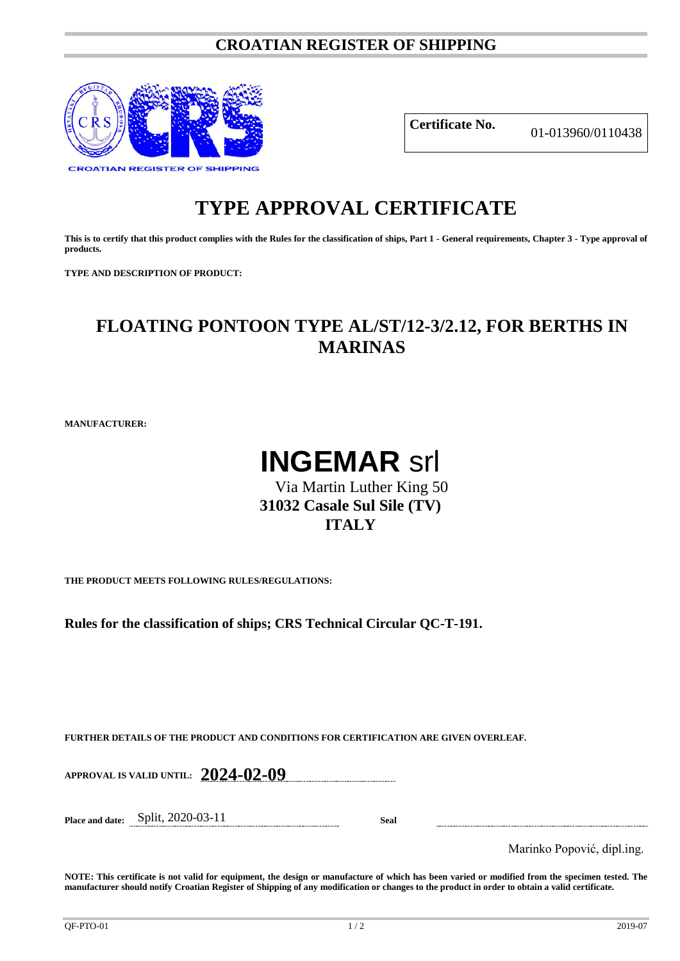### **CROATIAN REGISTER OF SHIPPING**



**Certificate No.** 01-013960/0110438

# **TYPE APPROVAL CERTIFICATE**

**This is to certify that this product complies with the Rules for the classification of ships, Part 1 - General requirements, Chapter 3 - Type approval of products.**

**TYPE AND DESCRIPTION OF PRODUCT:** 

## **FLOATING PONTOON TYPE AL/ST/12-3/2.12, FOR BERTHS IN MARINAS**

**MANUFACTURER:**

# **INGEMAR** srl

## Via Martin Luther King 50 **31032 Casale Sul Sile (TV) ITALY**

**THE PRODUCT MEETS FOLLOWING RULES/REGULATIONS:**

**Rules for the classification of ships; CRS Technical Circular QC-T-191.**

**FURTHER DETAILS OF THE PRODUCT AND CONDITIONS FOR CERTIFICATION ARE GIVEN OVERLEAF.**

**APPROVAL IS VALID UNTIL: 2024-02-09**

**Place and date:** Split, 2020-03-11 **Seal**

Marinko Popović, dipl.ing.

**NOTE: This certificate is not valid for equipment, the design or manufacture of which has been varied or modified from the specimen tested. The manufacturer should notify Croatian Register of Shipping of any modification or changes to the product in order to obtain a valid certificate.**